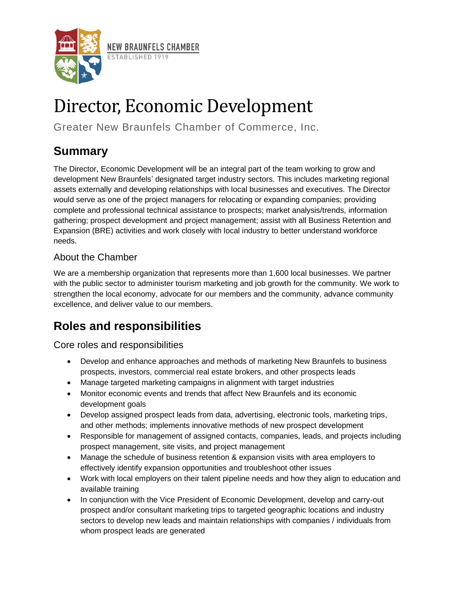

# Director, Economic Development

Greater New Braunfels Chamber of Commerce, Inc.

# **Summary**

The Director, Economic Development will be an integral part of the team working to grow and development New Braunfels' designated target industry sectors. This includes marketing regional assets externally and developing relationships with local businesses and executives. The Director would serve as one of the project managers for relocating or expanding companies; providing complete and professional technical assistance to prospects; market analysis/trends, information gathering; prospect development and project management; assist with all Business Retention and Expansion (BRE) activities and work closely with local industry to better understand workforce needs.

## About the Chamber

We are a membership organization that represents more than 1,600 local businesses. We partner with the public sector to administer tourism marketing and job growth for the community. We work to strengthen the local economy, advocate for our members and the community, advance community excellence, and deliver value to our members.

# **Roles and responsibilities**

Core roles and responsibilities

- Develop and enhance approaches and methods of marketing New Braunfels to business prospects, investors, commercial real estate brokers, and other prospects leads
- Manage targeted marketing campaigns in alignment with target industries
- Monitor economic events and trends that affect New Braunfels and its economic development goals
- Develop assigned prospect leads from data, advertising, electronic tools, marketing trips, and other methods; implements innovative methods of new prospect development
- Responsible for management of assigned contacts, companies, leads, and projects including prospect management, site visits, and project management
- Manage the schedule of business retention & expansion visits with area employers to effectively identify expansion opportunities and troubleshoot other issues
- Work with local employers on their talent pipeline needs and how they align to education and available training
- In conjunction with the Vice President of Economic Development, develop and carry-out prospect and/or consultant marketing trips to targeted geographic locations and industry sectors to develop new leads and maintain relationships with companies / individuals from whom prospect leads are generated